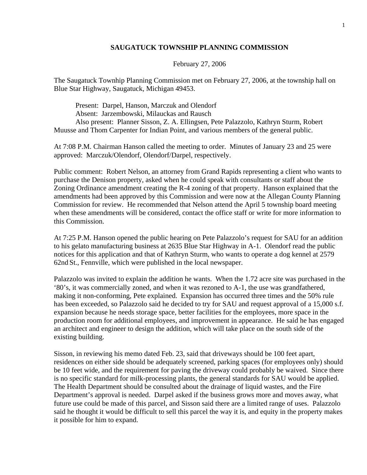## **SAUGATUCK TOWNSHIP PLANNING COMMISSION**

February 27, 2006

The Saugatuck Townhip Planning Commission met on February 27, 2006, at the township hall on Blue Star Highway, Saugatuck, Michigan 49453.

 Present: Darpel, Hanson, Marczuk and Olendorf Absent: Jarzembowski, Milauckas and Rausch Also present: Planner Sisson, Z. A. Ellingsen, Pete Palazzolo, Kathryn Sturm, Robert Muusse and Thom Carpenter for Indian Point, and various members of the general public.

At 7:08 P.M. Chairman Hanson called the meeting to order. Minutes of January 23 and 25 were approved: Marczuk/Olendorf, Olendorf/Darpel, respectively.

Public comment: Robert Nelson, an attorney from Grand Rapids representing a client who wants to purchase the Denison property, asked when he could speak with consultants or staff about the Zoning Ordinance amendment creating the R-4 zoning of that property. Hanson explained that the amendments had been approved by this Commission and were now at the Allegan County Planning Commission for review. He recommended that Nelson attend the April 5 township board meeting when these amendments will be considered, contact the office staff or write for more information to this Commission.

At 7:25 P.M. Hanson opened the public hearing on Pete Palazzolo's request for SAU for an addition to his gelato manufacturing business at 2635 Blue Star Highway in A-1. Olendorf read the public notices for this application and that of Kathryn Sturm, who wants to operate a dog kennel at 2579 62nd St., Fennville, which were published in the local newspaper.

Palazzolo was invited to explain the addition he wants. When the 1.72 acre site was purchased in the '80's, it was commercially zoned, and when it was rezoned to A-1, the use was grandfathered, making it non-conforming, Pete explained. Expansion has occurred three times and the 50% rule has been exceeded, so Palazzolo said he decided to try for SAU and request approval of a 15,000 s.f. expansion because he needs storage space, better facilities for the employees, more space in the production room for additional employees, and improvement in appearance. He said he has engaged an architect and engineer to design the addition, which will take place on the south side of the existing building.

Sisson, in reviewing his memo dated Feb. 23, said that driveways should be 100 feet apart, residences on either side should be adequately screened, parking spaces (for employees only) should be 10 feet wide, and the requirement for paving the driveway could probably be waived. Since there is no specific standard for milk-processing plants, the general standards for SAU would be applied. The Health Department should be consulted about the drainage of liquid wastes, and the Fire Department's approval is needed. Darpel asked if the business grows more and moves away, what future use could be made of this parcel, and Sisson said there are a limited range of uses. Palazzolo said he thought it would be difficult to sell this parcel the way it is, and equity in the property makes it possible for him to expand.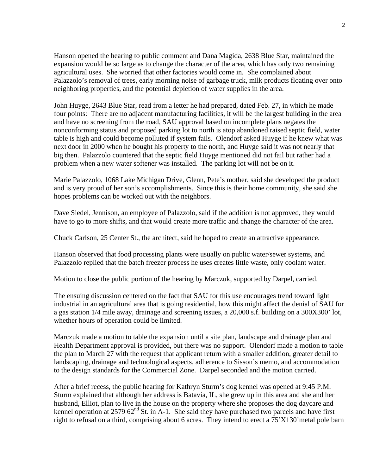Hanson opened the hearing to public comment and Dana Magida, 2638 Blue Star, maintained the expansion would be so large as to change the character of the area, which has only two remaining agricultural uses. She worried that other factories would come in. She complained about Palazzolo's removal of trees, early morning noise of garbage truck, milk products floating over onto neighboring properties, and the potential depletion of water supplies in the area.

John Huyge, 2643 Blue Star, read from a letter he had prepared, dated Feb. 27, in which he made four points: There are no adjacent manufacturing facilities, it will be the largest building in the area and have no screening from the road, SAU approval based on incomplete plans negates the nonconforming status and proposed parking lot to north is atop abandoned raised septic field, water table is high and could become polluted if system fails. Olendorf asked Huyge if he knew what was next door in 2000 when he bought his property to the north, and Huyge said it was not nearly that big then. Palazzolo countered that the septic field Huyge mentioned did not fail but rather had a problem when a new water softener was installed. The parking lot will not be on it.

Marie Palazzolo, 1068 Lake Michigan Drive, Glenn, Pete's mother, said she developed the product and is very proud of her son's accomplishments. Since this is their home community, she said she hopes problems can be worked out with the neighbors.

Dave Siedel, Jennison, an employee of Palazzolo, said if the addition is not approved, they would have to go to more shifts, and that would create more traffic and change the character of the area.

Chuck Carlson, 25 Center St., the architect, said he hoped to create an attractive appearance.

Hanson observed that food processing plants were usually on public water/sewer systems, and Palazzolo replied that the batch freezer process he uses creates little waste, only coolant water.

Motion to close the public portion of the hearing by Marczuk, supported by Darpel, carried.

The ensuing discussion centered on the fact that SAU for this use encourages trend toward light industrial in an agricultural area that is going residential, how this might affect the denial of SAU for a gas station 1/4 mile away, drainage and screening issues, a 20,000 s.f. building on a 300X300' lot, whether hours of operation could be limited.

Marczuk made a motion to table the expansion until a site plan, landscape and drainage plan and Health Department approval is provided, but there was no support. Olendorf made a motion to table the plan to March 27 with the request that applicant return with a smaller addition, greater detail to landscaping, drainage and technological aspects, adherence to Sisson's memo, and accommodation to the design standards for the Commercial Zone. Darpel seconded and the motion carried.

After a brief recess, the public hearing for Kathryn Sturm's dog kennel was opened at 9:45 P.M. Sturm explained that although her address is Batavia, IL, she grew up in this area and she and her husband, Elliot, plan to live in the house on the property where she proposes the dog daycare and kennel operation at 2579 62<sup>nd</sup> St. in A-1. She said they have purchased two parcels and have first right to refusal on a third, comprising about 6 acres. They intend to erect a 75'X130'metal pole barn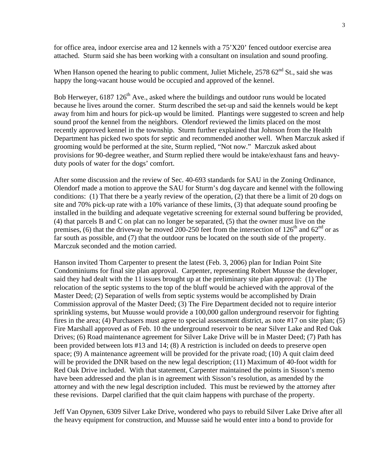for office area, indoor exercise area and 12 kennels with a 75'X20' fenced outdoor exercise area attached. Sturm said she has been working with a consultant on insulation and sound proofing.

When Hanson opened the hearing to public comment, Juliet Michele,  $257862<sup>nd</sup>$  St., said she was happy the long-vacant house would be occupied and approved of the kennel.

Bob Herweyer,  $6187126<sup>th</sup>$  Ave., asked where the buildings and outdoor runs would be located because he lives around the corner. Sturm described the set-up and said the kennels would be kept away from him and hours for pick-up would be limited. Plantings were suggested to screen and help sound proof the kennel from the neighbors. Olendorf reviewed the limits placed on the most recently approved kennel in the township. Sturm further explained that Johnson from the Health Department has picked two spots for septic and recommended another well. When Marczuk asked if grooming would be performed at the site, Sturm replied, "Not now." Marczuk asked about provisions for 90-degree weather, and Sturm replied there would be intake/exhaust fans and heavyduty pools of water for the dogs' comfort.

After some discussion and the review of Sec. 40-693 standards for SAU in the Zoning Ordinance, Olendorf made a motion to approve the SAU for Sturm's dog daycare and kennel with the following conditions: (1) That there be a yearly review of the operation, (2) that there be a limit of 20 dogs on site and 70% pick-up rate with a 10% variance of these limits, (3) that adequate sound proofing be installed in the building and adequate vegetative screening for external sound buffering be provided, (4) that parcels B and C on plat can no longer be separated, (5) that the owner must live on the premises, (6) that the driveway be moved 200-250 feet from the intersection of  $126<sup>th</sup>$  and  $62<sup>nd</sup>$  or as far south as possible, and (7) that the outdoor runs be located on the south side of the property. Marczuk seconded and the motion carried.

Hanson invited Thom Carpenter to present the latest (Feb. 3, 2006) plan for Indian Point Site Condominiums for final site plan approval. Carpenter, representing Robert Muusse the developer, said they had dealt with the 11 issues brought up at the preliminary site plan approval: (1) The relocation of the septic systems to the top of the bluff would be achieved with the approval of the Master Deed; (2) Separation of wells from septic systems would be accomplished by Drain Commission approval of the Master Deed; (3) The Fire Department decided not to require interior sprinkling systems, but Muusse would provide a 100,000 gallon underground reservoir for fighting fires in the area; (4) Purchasers must agree to special assessment district, as note #17 on site plan; (5) Fire Marshall approved as of Feb. 10 the underground reservoir to be near Silver Lake and Red Oak Drives; (6) Road maintenance agreement for Silver Lake Drive will be in Master Deed; (7) Path has been provided between lots #13 and 14; (8) A restriction is included on deeds to preserve open space; (9) A maintenance agreement will be provided for the private road; (10) A quit claim deed will be provided the DNR based on the new legal description; (11) Maximum of 40-foot width for Red Oak Drive included. With that statement, Carpenter maintained the points in Sisson's memo have been addressed and the plan is in agreement with Sisson's resolution, as amended by the attorney and with the new legal description included. This must be reviewed by the attorney after these revisions. Darpel clarified that the quit claim happens with purchase of the property.

Jeff Van Opynen, 6309 Silver Lake Drive, wondered who pays to rebuild Silver Lake Drive after all the heavy equipment for construction, and Muusse said he would enter into a bond to provide for